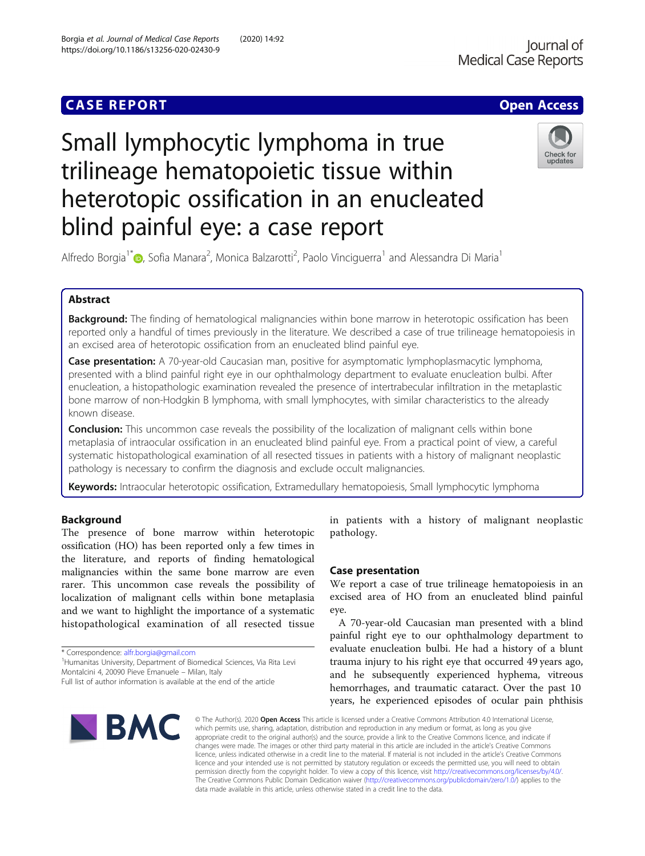## **CASE REPORT CASE ACCESS**

# Small lymphocytic lymphoma in true trilineage hematopoietic tissue within heterotopic ossification in an enucleated blind painful eye: a case report



Alfredo Borgia<sup>1[\\*](http://orcid.org/0000-0002-3976-242X)</sup> (@, Sofia Manara<sup>2</sup>, Monica Balzarotti<sup>2</sup>, Paolo Vinciguerra<sup>1</sup> and Alessandra Di Maria<sup>1</sup>

### Abstract

Background: The finding of hematological malignancies within bone marrow in heterotopic ossification has been reported only a handful of times previously in the literature. We described a case of true trilineage hematopoiesis in an excised area of heterotopic ossification from an enucleated blind painful eye.

Case presentation: A 70-year-old Caucasian man, positive for asymptomatic lymphoplasmacytic lymphoma, presented with a blind painful right eye in our ophthalmology department to evaluate enucleation bulbi. After enucleation, a histopathologic examination revealed the presence of intertrabecular infiltration in the metaplastic bone marrow of non-Hodgkin B lymphoma, with small lymphocytes, with similar characteristics to the already known disease.

**Conclusion:** This uncommon case reveals the possibility of the localization of malignant cells within bone metaplasia of intraocular ossification in an enucleated blind painful eye. From a practical point of view, a careful systematic histopathological examination of all resected tissues in patients with a history of malignant neoplastic pathology is necessary to confirm the diagnosis and exclude occult malignancies.

Keywords: Intraocular heterotopic ossification, Extramedullary hematopoiesis, Small lymphocytic lymphoma

### Background

The presence of bone marrow within heterotopic ossification (HO) has been reported only a few times in the literature, and reports of finding hematological malignancies within the same bone marrow are even rarer. This uncommon case reveals the possibility of localization of malignant cells within bone metaplasia and we want to highlight the importance of a systematic histopathological examination of all resected tissue

\* Correspondence: [alfr.borgia@gmail.com](mailto:alfr.borgia@gmail.com) <sup>1</sup>

<sup>1</sup> Humanitas University, Department of Biomedical Sciences, Via Rita Levi Montalcini 4, 20090 Pieve Emanuele – Milan, Italy

Full list of author information is available at the end of the article



in patients with a history of malignant neoplastic pathology.

### Case presentation

We report a case of true trilineage hematopoiesis in an excised area of HO from an enucleated blind painful eye.

A 70-year-old Caucasian man presented with a blind painful right eye to our ophthalmology department to evaluate enucleation bulbi. He had a history of a blunt trauma injury to his right eye that occurred 49 years ago, and he subsequently experienced hyphema, vitreous hemorrhages, and traumatic cataract. Over the past 10 years, he experienced episodes of ocular pain phthisis

© The Author(s), 2020 **Open Access** This article is licensed under a Creative Commons Attribution 4.0 International License, which permits use, sharing, adaptation, distribution and reproduction in any medium or format, as long as you give appropriate credit to the original author(s) and the source, provide a link to the Creative Commons licence, and indicate if changes were made. The images or other third party material in this article are included in the article's Creative Commons licence, unless indicated otherwise in a credit line to the material. If material is not included in the article's Creative Commons licence and your intended use is not permitted by statutory regulation or exceeds the permitted use, you will need to obtain permission directly from the copyright holder. To view a copy of this licence, visit [http://creativecommons.org/licenses/by/4.0/.](http://creativecommons.org/licenses/by/4.0/) The Creative Commons Public Domain Dedication waiver [\(http://creativecommons.org/publicdomain/zero/1.0/](http://creativecommons.org/publicdomain/zero/1.0/)) applies to the data made available in this article, unless otherwise stated in a credit line to the data.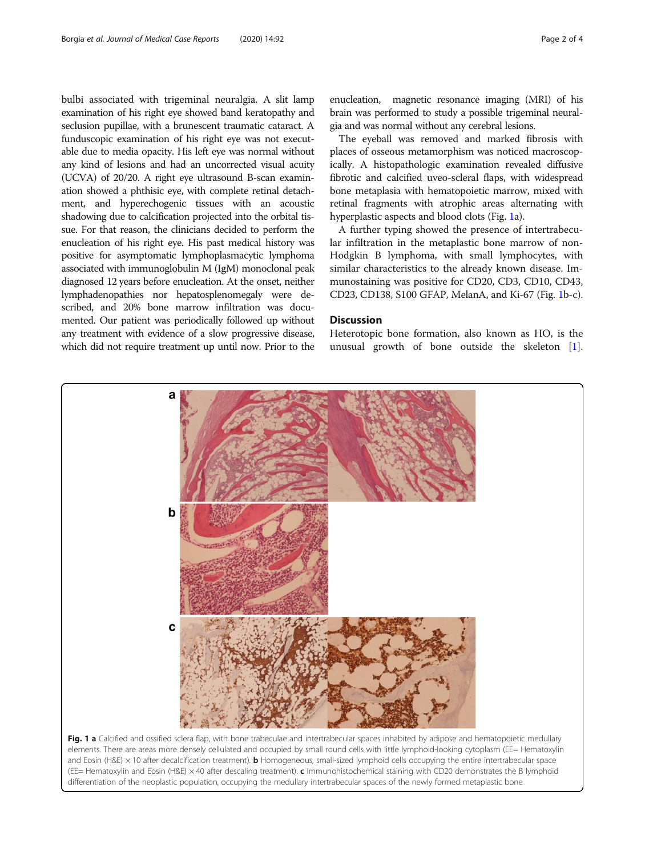bulbi associated with trigeminal neuralgia. A slit lamp examination of his right eye showed band keratopathy and seclusion pupillae, with a brunescent traumatic cataract. A funduscopic examination of his right eye was not executable due to media opacity. His left eye was normal without any kind of lesions and had an uncorrected visual acuity (UCVA) of 20/20. A right eye ultrasound B-scan examination showed a phthisic eye, with complete retinal detachment, and hyperechogenic tissues with an acoustic shadowing due to calcification projected into the orbital tissue. For that reason, the clinicians decided to perform the enucleation of his right eye. His past medical history was positive for asymptomatic lymphoplasmacytic lymphoma associated with immunoglobulin M (IgM) monoclonal peak diagnosed 12 years before enucleation. At the onset, neither lymphadenopathies nor hepatosplenomegaly were described, and 20% bone marrow infiltration was documented. Our patient was periodically followed up without any treatment with evidence of a slow progressive disease, which did not require treatment up until now. Prior to the enucleation, magnetic resonance imaging (MRI) of his brain was performed to study a possible trigeminal neuralgia and was normal without any cerebral lesions.

The eyeball was removed and marked fibrosis with places of osseous metamorphism was noticed macroscopically. A histopathologic examination revealed diffusive fibrotic and calcified uveo-scleral flaps, with widespread bone metaplasia with hematopoietic marrow, mixed with retinal fragments with atrophic areas alternating with hyperplastic aspects and blood clots (Fig. 1a).

A further typing showed the presence of intertrabecular infiltration in the metaplastic bone marrow of non-Hodgkin B lymphoma, with small lymphocytes, with similar characteristics to the already known disease. Immunostaining was positive for CD20, CD3, CD10, CD43, CD23, CD138, S100 GFAP, MelanA, and Ki-67 (Fig. 1b-c).

### **Discussion**

Heterotopic bone formation, also known as HO, is the unusual growth of bone outside the skeleton [\[1](#page-2-0)].



elements. There are areas more densely cellulated and occupied by small round cells with little lymphoid-looking cytoplasm (EE= Hematoxylin and Eosin (H&E)  $\times$  10 after decalcification treatment). **b** Homogeneous, small-sized lymphoid cells occupying the entire intertrabecular space (EE= Hematoxylin and Eosin (H&E)  $\times$  40 after descaling treatment). c Immunohistochemical staining with CD20 demonstrates the B lymphoid differentiation of the neoplastic population, occupying the medullary intertrabecular spaces of the newly formed metaplastic bone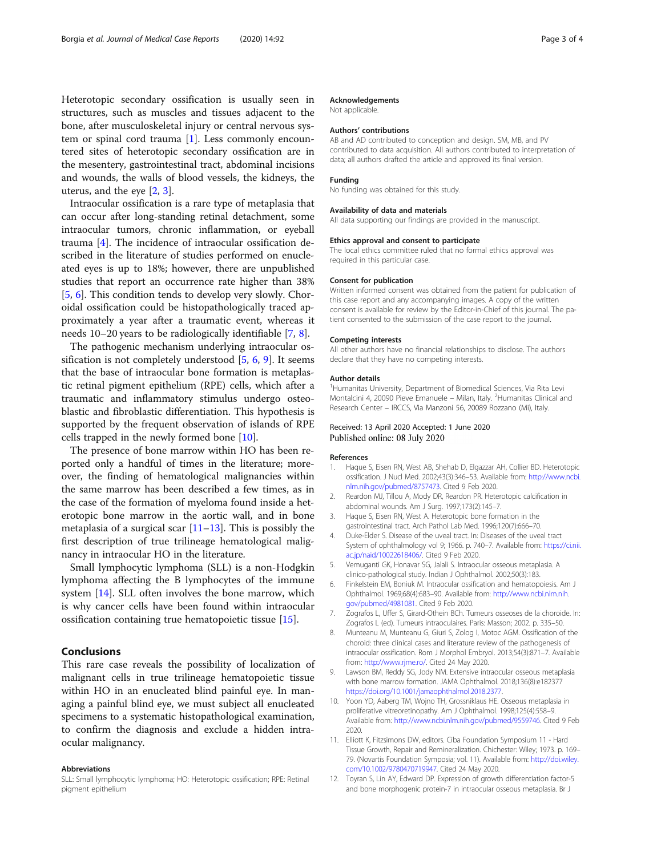<span id="page-2-0"></span>Heterotopic secondary ossification is usually seen in structures, such as muscles and tissues adjacent to the bone, after musculoskeletal injury or central nervous system or spinal cord trauma [1]. Less commonly encountered sites of heterotopic secondary ossification are in the mesentery, gastrointestinal tract, abdominal incisions and wounds, the walls of blood vessels, the kidneys, the uterus, and the eye [2, 3].

Intraocular ossification is a rare type of metaplasia that can occur after long-standing retinal detachment, some intraocular tumors, chronic inflammation, or eyeball trauma [4]. The incidence of intraocular ossification described in the literature of studies performed on enucleated eyes is up to 18%; however, there are unpublished studies that report an occurrence rate higher than 38% [5, 6]. This condition tends to develop very slowly. Choroidal ossification could be histopathologically traced approximately a year after a traumatic event, whereas it needs 10–20 years to be radiologically identifiable [7, 8].

The pathogenic mechanism underlying intraocular ossification is not completely understood [5, 6, 9]. It seems that the base of intraocular bone formation is metaplastic retinal pigment epithelium (RPE) cells, which after a traumatic and inflammatory stimulus undergo osteoblastic and fibroblastic differentiation. This hypothesis is supported by the frequent observation of islands of RPE cells trapped in the newly formed bone [10].

The presence of bone marrow within HO has been reported only a handful of times in the literature; moreover, the finding of hematological malignancies within the same marrow has been described a few times, as in the case of the formation of myeloma found inside a heterotopic bone marrow in the aortic wall, and in bone metaplasia of a surgical scar  $[11–13]$  $[11–13]$  $[11–13]$ . This is possibly the first description of true trilineage hematological malignancy in intraocular HO in the literature.

Small lymphocytic lymphoma (SLL) is a non-Hodgkin lymphoma affecting the B lymphocytes of the immune system [[14\]](#page-3-0). SLL often involves the bone marrow, which is why cancer cells have been found within intraocular ossification containing true hematopoietic tissue [[15\]](#page-3-0).

### Conclusions

This rare case reveals the possibility of localization of malignant cells in true trilineage hematopoietic tissue within HO in an enucleated blind painful eye. In managing a painful blind eye, we must subject all enucleated specimens to a systematic histopathological examination, to confirm the diagnosis and exclude a hidden intraocular malignancy.

### Abbreviations

### Acknowledgements

Not applicable.

### Authors' contributions

AB and AD contributed to conception and design. SM, MB, and PV contributed to data acquisition. All authors contributed to interpretation of data; all authors drafted the article and approved its final version.

### Funding

No funding was obtained for this study.

### Availability of data and materials

All data supporting our findings are provided in the manuscript.

### Ethics approval and consent to participate

The local ethics committee ruled that no formal ethics approval was required in this particular case.

### Consent for publication

Written informed consent was obtained from the patient for publication of this case report and any accompanying images. A copy of the written consent is available for review by the Editor-in-Chief of this journal. The patient consented to the submission of the case report to the journal.

#### Competing interests

All other authors have no financial relationships to disclose. The authors declare that they have no competing interests.

### Author details

<sup>1</sup>Humanitas University, Department of Biomedical Sciences, Via Rita Levi Montalcini 4, 20090 Pieve Emanuele - Milan, Italy. <sup>2</sup> Humanitas Clinical and Research Center – IRCCS, Via Manzoni 56, 20089 Rozzano (Mi), Italy.

### Received: 13 April 2020 Accepted: 1 June 2020 Published online: 08 July 2020

#### References

- 1. Haque S, Eisen RN, West AB, Shehab D, Elgazzar AH, Collier BD. Heterotopic ossification. J Nucl Med. 2002;43(3):346–53. Available from: [http://www.ncbi.](http://www.ncbi.nlm.nih.gov/pubmed/8757473) [nlm.nih.gov/pubmed/8757473](http://www.ncbi.nlm.nih.gov/pubmed/8757473). Cited 9 Feb 2020.
- 2. Reardon MJ, Tillou A, Mody DR, Reardon PR. Heterotopic calcification in abdominal wounds. Am J Surg. 1997;173(2):145–7.
- 3. Haque S, Eisen RN, West A. Heterotopic bone formation in the gastrointestinal tract. Arch Pathol Lab Med. 1996;120(7):666–70.
- 4. Duke-Elder S. Disease of the uveal tract. In: Diseases of the uveal tract System of ophthalmology vol 9; 1966. p. 740–7. Available from: [https://ci.nii.](https://ci.nii.ac.jp/naid/10022618406/) [ac.jp/naid/10022618406/.](https://ci.nii.ac.jp/naid/10022618406/) Cited 9 Feb 2020.
- 5. Vemuganti GK, Honavar SG, Jalali S. Intraocular osseous metaplasia. A clinico-pathological study. Indian J Ophthalmol. 2002;50(3):183.
- 6. Finkelstein EM, Boniuk M. Intraocular ossification and hematopoiesis. Am J Ophthalmol. 1969;68(4):683–90. Available from: [http://www.ncbi.nlm.nih.](http://www.ncbi.nlm.nih.gov/pubmed/4981081) [gov/pubmed/4981081.](http://www.ncbi.nlm.nih.gov/pubmed/4981081) Cited 9 Feb 2020.
- 7. Zografos L, Uffer S, Girard-Othein BCh. Tumeurs osseoses de la choroide. In: Zografos L (ed). Tumeurs intraoculaires. Paris: Masson; 2002. p. 335–50.
- 8. Munteanu M, Munteanu G, Giuri S, Zolog I, Motoc AGM. Ossification of the choroid: three clinical cases and literature review of the pathogenesis of intraocular ossification. Rom J Morphol Embryol. 2013;54(3):871–7. Available from: <http://www.rjme.ro/>. Cited 24 May 2020.
- 9. Lawson BM, Reddy SG, Jody NM. Extensive intraocular osseous metaplasia with bone marrow formation. JAMA Ophthalmol. 2018;136(8):e182377 <https://doi.org/10.1001/jamaophthalmol.2018.2377>.
- 10. Yoon YD, Aaberg TM, Wojno TH, Grossniklaus HE. Osseous metaplasia in proliferative vitreoretinopathy. Am J Ophthalmol. 1998;125(4):558–9. Available from: [http://www.ncbi.nlm.nih.gov/pubmed/9559746.](http://www.ncbi.nlm.nih.gov/pubmed/9559746) Cited 9 Feb 2020.
- 11. Elliott K, Fitzsimons DW, editors. Ciba Foundation Symposium 11 Hard Tissue Growth, Repair and Remineralization. Chichester: Wiley; 1973. p. 169– 79. (Novartis Foundation Symposia; vol. 11). Available from: [http://doi.wiley.](http://doi.wiley.com/10.1002/9780470719947) [com/10.1002/9780470719947](http://doi.wiley.com/10.1002/9780470719947). Cited 24 May 2020.
- 12. Toyran S, Lin AY, Edward DP. Expression of growth differentiation factor-5 and bone morphogenic protein-7 in intraocular osseous metaplasia. Br J